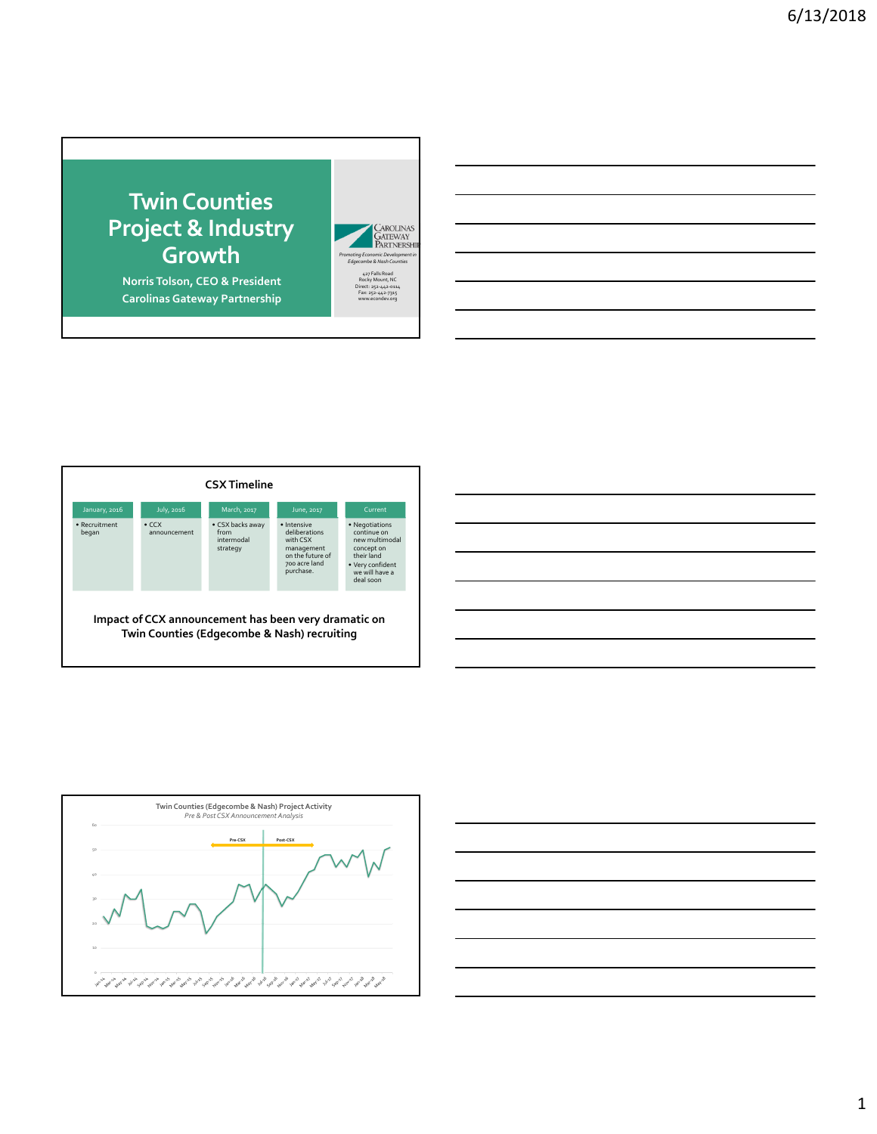## **TwinCounties Project & Industry Growth**

**Norris Tolson, CEO & President Carolinas Gateway Partnership**